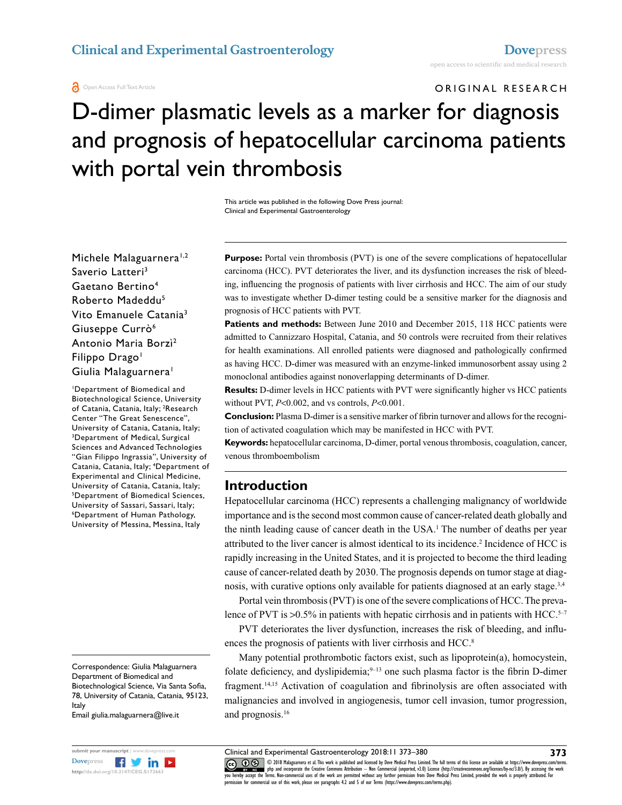#### **O** Open Access Full Text Article

ORIGINAL RESEARCH

# D-dimer plasmatic levels as a marker for diagnosis and prognosis of hepatocellular carcinoma patients with portal vein thrombosis

This article was published in the following Dove Press journal: Clinical and Experimental Gastroenterology

Michele Malaguarnera<sup>1,2</sup> Saverio Latteri<sup>3</sup> Gaetano Bertino4 Roberto Madeddu5 Vito Emanuele Catania3 Giuseppe Currò<sup>6</sup> Antonio Maria Borzì<sup>2</sup> Filippo Drago<sup>1</sup> Giulia Malaguarnera<sup>1</sup>

1 Department of Biomedical and Biotechnological Science, University of Catania, Catania, Italy; <sup>2</sup>Research Center "The Great Senescence", University of Catania, Catania, Italy; 3 Department of Medical, Surgical Sciences and Advanced Technologies "Gian Filippo Ingrassia", University of Catania, Catania, Italy; 4 Department of Experimental and Clinical Medicine, University of Catania, Catania, Italy; 5 Department of Biomedical Sciences, University of Sassari, Sassari, Italy; Department of Human Pathology, University of Messina, Messina, Italy

Email [giulia.malaguarnera@live.it](mailto:giulia.malaguarnera@live.it)



**Purpose:** Portal vein thrombosis (PVT) is one of the severe complications of hepatocellular carcinoma (HCC). PVT deteriorates the liver, and its dysfunction increases the risk of bleeding, influencing the prognosis of patients with liver cirrhosis and HCC. The aim of our study was to investigate whether D-dimer testing could be a sensitive marker for the diagnosis and prognosis of HCC patients with PVT.

**Patients and methods:** Between June 2010 and December 2015, 118 HCC patients were admitted to Cannizzaro Hospital, Catania, and 50 controls were recruited from their relatives for health examinations. All enrolled patients were diagnosed and pathologically confirmed as having HCC. D-dimer was measured with an enzyme-linked immunosorbent assay using 2 monoclonal antibodies against nonoverlapping determinants of D-dimer.

**Results:** D-dimer levels in HCC patients with PVT were significantly higher vs HCC patients without PVT, *P*<0.002, and vs controls, *P*<0.001.

**Conclusion:** Plasma D-dimer is a sensitive marker of fibrin turnover and allows for the recognition of activated coagulation which may be manifested in HCC with PVT.

**Keywords:** hepatocellular carcinoma, D-dimer, portal venous thrombosis, coagulation, cancer, venous thromboembolism

## **Introduction**

Hepatocellular carcinoma (HCC) represents a challenging malignancy of worldwide importance and is the second most common cause of cancer-related death globally and the ninth leading cause of cancer death in the USA.<sup>1</sup> The number of deaths per year attributed to the liver cancer is almost identical to its incidence.2 Incidence of HCC is rapidly increasing in the United States, and it is projected to become the third leading cause of cancer-related death by 2030. The prognosis depends on tumor stage at diagnosis, with curative options only available for patients diagnosed at an early stage.<sup>3,4</sup>

Portal vein thrombosis (PVT) is one of the severe complications of HCC. The prevalence of PVT is  $>0.5\%$  in patients with hepatic cirrhosis and in patients with HCC.<sup>5–7</sup>

PVT deteriorates the liver dysfunction, increases the risk of bleeding, and influences the prognosis of patients with liver cirrhosis and HCC.<sup>8</sup>

Many potential prothrombotic factors exist, such as lipoprotein(a), homocystein, folate deficiency, and dyslipidemia; $9-13$  one such plasma factor is the fibrin D-dimer fragment.14,15 Activation of coagulation and fibrinolysis are often associated with malignancies and involved in angiogenesis, tumor cell invasion, tumor progression, and prognosis.<sup>16</sup>

Clinical and Experimental Gastroenterology 2018:11 373–380

**373**

CO ODI8 Malaguarnera et al. This work is published and licensed by Dove Medical Press Limited. The full terms of this license are available at https://www.dovepress.com/terms.<br>You hereby accept the Terms Mon-commetrial use permission for commercial use of this work, please see paragraphs 4.2 and 5 of our Terms (https://www.dovepress.com/terms.php).

Correspondence: Giulia Malaguarnera Department of Biomedical and Biotechnological Science, Via Santa Sofia, 78, University of Catania, Catania, 95123, Italy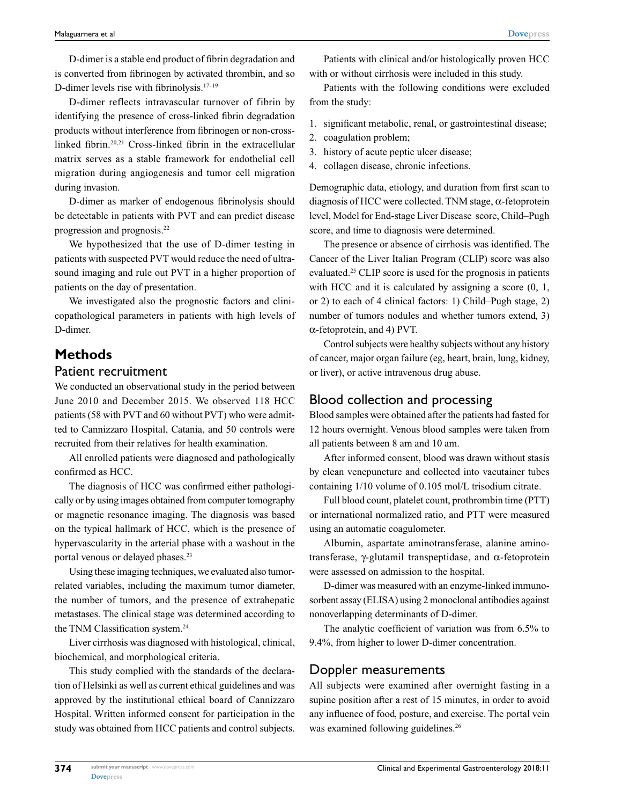D-dimer is a stable end product of fibrin degradation and is converted from fibrinogen by activated thrombin, and so D-dimer levels rise with fibrinolysis.<sup>17-19</sup>

D-dimer reflects intravascular turnover of fibrin by identifying the presence of cross-linked fibrin degradation products without interference from fibrinogen or non-crosslinked fibrin.20,21 Cross-linked fibrin in the extracellular matrix serves as a stable framework for endothelial cell migration during angiogenesis and tumor cell migration during invasion.

D-dimer as marker of endogenous fibrinolysis should be detectable in patients with PVT and can predict disease progression and prognosis.22

We hypothesized that the use of D-dimer testing in patients with suspected PVT would reduce the need of ultrasound imaging and rule out PVT in a higher proportion of patients on the day of presentation.

We investigated also the prognostic factors and clinicopathological parameters in patients with high levels of D-dimer.

## **Methods**

## Patient recruitment

We conducted an observational study in the period between June 2010 and December 2015. We observed 118 HCC patients (58 with PVT and 60 without PVT) who were admitted to Cannizzaro Hospital, Catania, and 50 controls were recruited from their relatives for health examination.

All enrolled patients were diagnosed and pathologically confirmed as HCC.

The diagnosis of HCC was confirmed either pathologically or by using images obtained from computer tomography or magnetic resonance imaging. The diagnosis was based on the typical hallmark of HCC, which is the presence of hypervascularity in the arterial phase with a washout in the portal venous or delayed phases.<sup>23</sup>

Using these imaging techniques, we evaluated also tumorrelated variables, including the maximum tumor diameter, the number of tumors, and the presence of extrahepatic metastases. The clinical stage was determined according to the TNM Classification system.24

Liver cirrhosis was diagnosed with histological, clinical, biochemical, and morphological criteria.

This study complied with the standards of the declaration of Helsinki as well as current ethical guidelines and was approved by the institutional ethical board of Cannizzaro Hospital. Written informed consent for participation in the study was obtained from HCC patients and control subjects.

Patients with clinical and/or histologically proven HCC with or without cirrhosis were included in this study.

Patients with the following conditions were excluded from the study:

- 1. significant metabolic, renal, or gastrointestinal disease;
- 2. coagulation problem;
- 3. history of acute peptic ulcer disease;
- 4. collagen disease, chronic infections.

Demographic data, etiology, and duration from first scan to diagnosis of HCC were collected. TNM stage, α-fetoprotein level, Model for End-stage Liver Disease score, Child–Pugh score, and time to diagnosis were determined.

The presence or absence of cirrhosis was identified. The Cancer of the Liver Italian Program (CLIP) score was also evaluated.25 CLIP score is used for the prognosis in patients with HCC and it is calculated by assigning a score  $(0, 1, 1)$ or 2) to each of 4 clinical factors: 1) Child–Pugh stage, 2) number of tumors nodules and whether tumors extend, 3) α-fetoprotein, and 4) PVT.

Control subjects were healthy subjects without any history of cancer, major organ failure (eg, heart, brain, lung, kidney, or liver), or active intravenous drug abuse.

## Blood collection and processing

Blood samples were obtained after the patients had fasted for 12 hours overnight. Venous blood samples were taken from all patients between 8 am and 10 am.

After informed consent, blood was drawn without stasis by clean venepuncture and collected into vacutainer tubes containing 1/10 volume of 0.105 mol/L trisodium citrate.

Full blood count, platelet count, prothrombin time (PTT) or international normalized ratio, and PTT were measured using an automatic coagulometer.

Albumin, aspartate aminotransferase, alanine aminotransferase, γ-glutamil transpeptidase, and α-fetoprotein were assessed on admission to the hospital.

D-dimer was measured with an enzyme-linked immunosorbent assay (ELISA) using 2 monoclonal antibodies against nonoverlapping determinants of D-dimer.

The analytic coefficient of variation was from 6.5% to 9.4%, from higher to lower D-dimer concentration.

## Doppler measurements

All subjects were examined after overnight fasting in a supine position after a rest of 15 minutes, in order to avoid any influence of food, posture, and exercise. The portal vein was examined following guidelines.<sup>26</sup>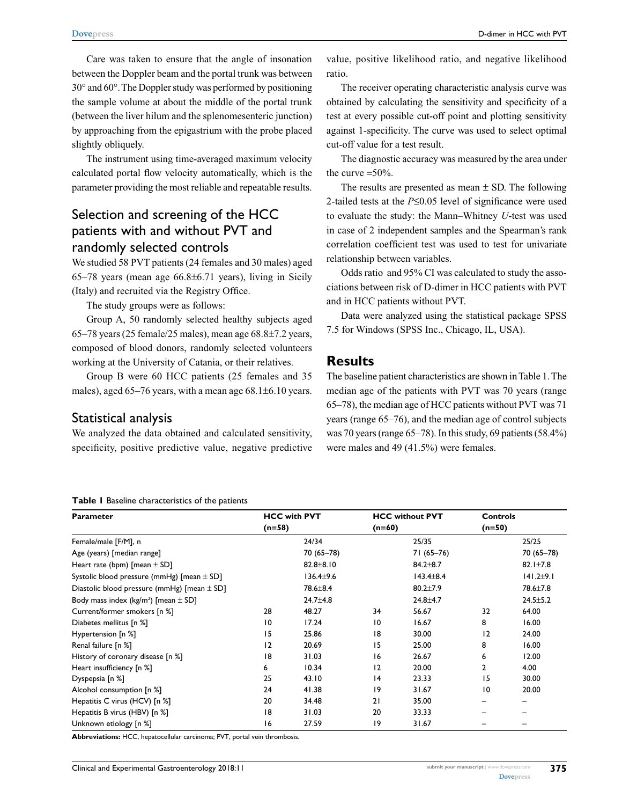Care was taken to ensure that the angle of insonation between the Doppler beam and the portal trunk was between 30° and 60°. The Doppler study was performed by positioning the sample volume at about the middle of the portal trunk (between the liver hilum and the splenomesenteric junction) by approaching from the epigastrium with the probe placed slightly obliquely.

The instrument using time-averaged maximum velocity calculated portal flow velocity automatically, which is the parameter providing the most reliable and repeatable results.

# Selection and screening of the HCC patients with and without PVT and randomly selected controls

We studied 58 PVT patients (24 females and 30 males) aged 65–78 years (mean age 66.8±6.71 years), living in Sicily (Italy) and recruited via the Registry Office.

The study groups were as follows:

Group A, 50 randomly selected healthy subjects aged 65–78 years (25 female/25 males), mean age 68.8±7.2 years, composed of blood donors, randomly selected volunteers working at the University of Catania, or their relatives.

Group B were 60 HCC patients (25 females and 35 males), aged 65–76 years, with a mean age 68.1±6.10 years.

## Statistical analysis

We analyzed the data obtained and calculated sensitivity, specificity, positive predictive value, negative predictive

value, positive likelihood ratio, and negative likelihood ratio.

The receiver operating characteristic analysis curve was obtained by calculating the sensitivity and specificity of a test at every possible cut-off point and plotting sensitivity against 1-specificity. The curve was used to select optimal cut-off value for a test result.

The diagnostic accuracy was measured by the area under the curve  $=50\%$ .

The results are presented as mean  $\pm$  SD. The following 2-tailed tests at the *P*≤0.05 level of significance were used to evaluate the study: the Mann–Whitney *U*-test was used in case of 2 independent samples and the Spearman's rank correlation coefficient test was used to test for univariate relationship between variables.

Odds ratio and 95% CI was calculated to study the associations between risk of D-dimer in HCC patients with PVT and in HCC patients without PVT.

Data were analyzed using the statistical package SPSS 7.5 for Windows (SPSS Inc., Chicago, IL, USA).

## **Results**

The baseline patient characteristics are shown in Table 1. The median age of the patients with PVT was 70 years (range 65–78), the median age of HCC patients without PVT was 71 years (range 65–76), and the median age of control subjects was 70 years (range 65–78). In this study, 69 patients (58.4%) were males and 49 (41.5%) were females.

#### **Table 1** Baseline characteristics of the patients

| <b>Parameter</b>                                     | <b>HCC with PVT</b><br>$(n=58)$ |                 | <b>HCC without PVT</b><br>(n=60) |                 | <b>Controls</b><br>$(n=50)$ |                |
|------------------------------------------------------|---------------------------------|-----------------|----------------------------------|-----------------|-----------------------------|----------------|
|                                                      |                                 |                 |                                  |                 |                             |                |
| Female/male [F/M], n                                 |                                 | 24/34           |                                  | 25/35           |                             | 25/25          |
| Age (years) [median range]                           |                                 | 70 (65–78)      |                                  | 71 (65-76)      |                             | 70 (65–78)     |
| Heart rate (bpm) [mean $\pm$ SD]                     |                                 | $82.8 \pm 8.10$ |                                  | $84.2 \pm 8.7$  |                             | 82.1 $\pm$ 7.8 |
| Systolic blood pressure (mmHg) [mean $\pm$ SD]       |                                 | 136.4±9.6       |                                  | $143.4 \pm 8.4$ |                             | 141.2±9.1      |
| Diastolic blood pressure (mmHg) [mean $\pm$ SD]      |                                 | 78.6±8.4        |                                  | $80.2 \pm 7.9$  |                             | 78.6±7.8       |
| Body mass index (kg/m <sup>2</sup> ) [mean $\pm$ SD] |                                 | $24.7 + 4.8$    |                                  | $24.8 \pm 4.7$  |                             | $24.5 \pm 5.2$ |
| Current/former smokers [n %]                         | 28                              | 48.27           | 34                               | 56.67           | 32                          | 64.00          |
| Diabetes mellitus [n %]                              | 10                              | 17.24           | $\overline{10}$                  | 16.67           | 8                           | 16.00          |
| Hypertension [n %]                                   | 15                              | 25.86           | 18                               | 30.00           | $ 2\rangle$                 | 24.00          |
| Renal failure [n %]                                  | 12                              | 20.69           | 15                               | 25.00           | 8                           | 16.00          |
| History of coronary disease [n %]                    | 18                              | 31.03           | 16                               | 26.67           | 6                           | 12.00          |
| Heart insufficiency [n %]                            | 6                               | 10.34           | 12                               | 20.00           | 2                           | 4.00           |
| Dyspepsia [n %]                                      | 25                              | 43.10           | 14                               | 23.33           | 15                          | 30.00          |
| Alcohol consumption [n %]                            | 24                              | 41.38           | 19                               | 31.67           | $\overline{10}$             | 20.00          |
| Hepatitis C virus (HCV) [n %]                        | 20                              | 34.48           | 21                               | 35.00           |                             |                |
| Hepatitis B virus (HBV) [n %]                        | 18                              | 31.03           | 20                               | 33.33           |                             |                |
| Unknown etiology [n %]                               | 16                              | 27.59           | 19                               | 31.67           |                             |                |

**Abbreviations:** HCC, hepatocellular carcinoma; PVT, portal vein thrombosis.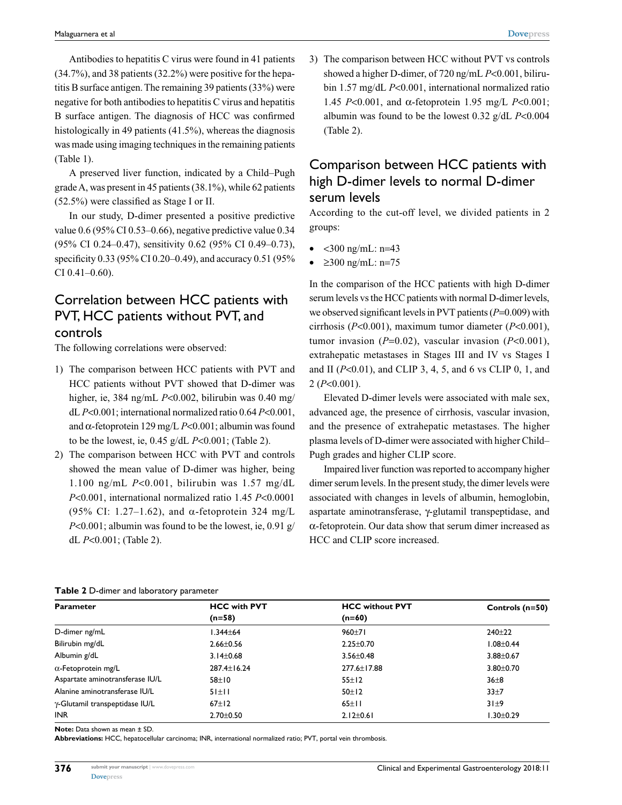Antibodies to hepatitis C virus were found in 41 patients (34.7%), and 38 patients (32.2%) were positive for the hepatitis B surface antigen. The remaining 39 patients (33%) were negative for both antibodies to hepatitis C virus and hepatitis B surface antigen. The diagnosis of HCC was confirmed histologically in 49 patients (41.5%), whereas the diagnosis was made using imaging techniques in the remaining patients (Table 1).

A preserved liver function, indicated by a Child–Pugh grade A, was present in 45 patients (38.1%), while 62 patients (52.5%) were classified as Stage I or II.

In our study, D-dimer presented a positive predictive value 0.6 (95% CI 0.53–0.66), negative predictive value 0.34 (95% CI 0.24–0.47), sensitivity 0.62 (95% CI 0.49–0.73), specificity 0.33 (95% CI 0.20–0.49), and accuracy 0.51 (95% CI 0.41–0.60).

# Correlation between HCC patients with PVT, HCC patients without PVT, and controls

The following correlations were observed:

- 1) The comparison between HCC patients with PVT and HCC patients without PVT showed that D-dimer was higher, ie, 384 ng/mL *P*<0.002, bilirubin was 0.40 mg/ dL *P*<0.001; international normalized ratio 0.64 *P*<0.001, and α-fetoprotein 129 mg/L *P*<0.001; albumin was found to be the lowest, ie, 0.45 g/dL *P*<0.001; (Table 2).
- 2) The comparison between HCC with PVT and controls showed the mean value of D-dimer was higher, being 1.100 ng/mL *P*<0.001, bilirubin was 1.57 mg/dL *P*<0.001, international normalized ratio 1.45 *P*<0.0001 (95% CI: 1.27–1.62), and  $\alpha$ -fetoprotein 324 mg/L *P*<0.001; albumin was found to be the lowest, ie, 0.91 g/ dL *P*<0.001; (Table 2).

3) The comparison between HCC without PVT vs controls showed a higher D-dimer, of 720 ng/mL *P*<0.001, bilirubin 1.57 mg/dL *P*<0.001, international normalized ratio 1.45 *P*<0.001, and α-fetoprotein 1.95 mg/L *P*<0.001; albumin was found to be the lowest 0.32 g/dL *P*<0.004 (Table 2).

# Comparison between HCC patients with high D-dimer levels to normal D-dimer serum levels

According to the cut-off level, we divided patients in 2 groups:

- $<$ 300 ng/mL: n=43
- $≥300$  ng/mL: n=75

In the comparison of the HCC patients with high D-dimer serum levels vs the HCC patients with normal D-dimer levels, we observed significant levels in PVT patients ( $P=0.009$ ) with cirrhosis (*P*<0.001), maximum tumor diameter (*P*<0.001), tumor invasion (*P*=0.02), vascular invasion (*P*<0.001), extrahepatic metastases in Stages III and IV vs Stages I and II (*P*<0.01), and CLIP 3, 4, 5, and 6 vs CLIP 0, 1, and 2 (*P*<0.001).

Elevated D-dimer levels were associated with male sex, advanced age, the presence of cirrhosis, vascular invasion, and the presence of extrahepatic metastases. The higher plasma levels of D-dimer were associated with higher Child– Pugh grades and higher CLIP score.

Impaired liver function was reported to accompany higher dimer serum levels. In the present study, the dimer levels were associated with changes in levels of albumin, hemoglobin, aspartate aminotransferase, γ-glutamil transpeptidase, and α-fetoprotein. Our data show that serum dimer increased as HCC and CLIP score increased.

| <b>Eable 2</b> D-differ and laboratory parameter |                     |                        |                   |  |
|--------------------------------------------------|---------------------|------------------------|-------------------|--|
| <b>Parameter</b>                                 | <b>HCC with PVT</b> | <b>HCC without PVT</b> | Controls $(n=50)$ |  |
|                                                  | (n=58)              | $(n=60)$               |                   |  |
| D-dimer ng/mL                                    | $1.344 + 64$        | $960 + 71$             | $240+22$          |  |
| Bilirubin mg/dL                                  | $2.66 \pm 0.56$     | $2.25 \pm 0.70$        | $1.08 \pm 0.44$   |  |
| Albumin g/dL                                     | $3.14 \pm 0.68$     | $3.56 \pm 0.48$        | $3.88 + 0.67$     |  |
| $\alpha$ -Fetoprotein mg/L                       | 287.4±16.24         | 277.6±17.88            | $3.80 \pm 0.70$   |  |
| Aspartate aminotransferase IU/L                  | $58 + 10$           | $55 \pm 12$            | $36 + 8$          |  |
| Alanine aminotransferase IU/L                    | $51 \pm 11$         | 50±12                  | $33+7$            |  |
| y-Glutamil transpeptidase IU/L                   | $67 \pm 12$         | $65 \pm 11$            | 31±9              |  |
| <b>INR</b>                                       | $2.70 \pm 0.50$     | $2.12 \pm 0.61$        | l.30±0.29         |  |

#### **Table 2** D-dimer and laboratory parameter

**Note:** Data shown as mean ± SD.

**Abbreviations:** HCC, hepatocellular carcinoma; INR, international normalized ratio; PVT, portal vein thrombosis.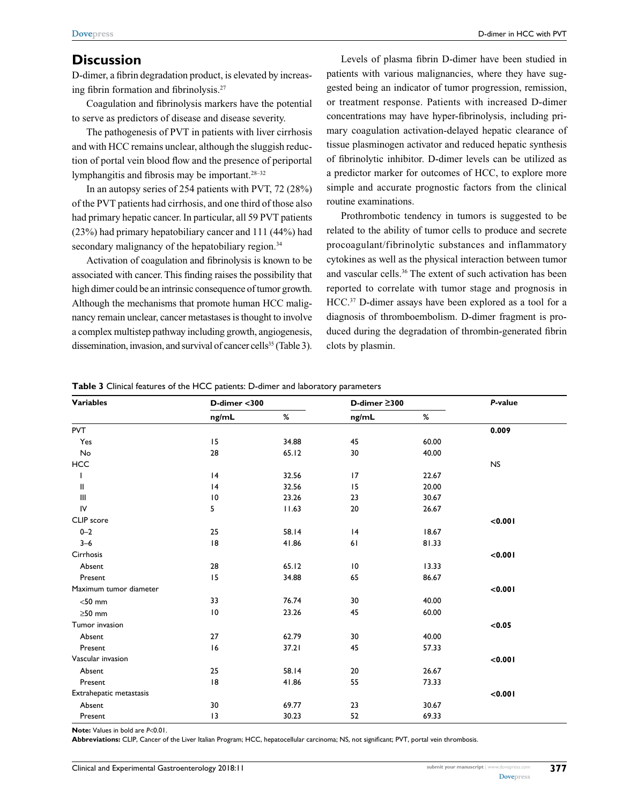## **Discussion**

D-dimer, a fibrin degradation product, is elevated by increasing fibrin formation and fibrinolysis.27

Coagulation and fibrinolysis markers have the potential to serve as predictors of disease and disease severity.

The pathogenesis of PVT in patients with liver cirrhosis and with HCC remains unclear, although the sluggish reduction of portal vein blood flow and the presence of periportal lymphangitis and fibrosis may be important.28–32

In an autopsy series of 254 patients with PVT, 72 (28%) of the PVT patients had cirrhosis, and one third of those also had primary hepatic cancer. In particular, all 59 PVT patients (23%) had primary hepatobiliary cancer and 111 (44%) had secondary malignancy of the hepatobiliary region.<sup>34</sup>

Activation of coagulation and fibrinolysis is known to be associated with cancer. This finding raises the possibility that high dimer could be an intrinsic consequence of tumor growth. Although the mechanisms that promote human HCC malignancy remain unclear, cancer metastases is thought to involve a complex multistep pathway including growth, angiogenesis, dissemination, invasion, and survival of cancer cells<sup>35</sup> (Table 3).

Levels of plasma fibrin D-dimer have been studied in patients with various malignancies, where they have suggested being an indicator of tumor progression, remission, or treatment response. Patients with increased D-dimer concentrations may have hyper-fibrinolysis, including primary coagulation activation-delayed hepatic clearance of tissue plasminogen activator and reduced hepatic synthesis of fibrinolytic inhibitor. D-dimer levels can be utilized as a predictor marker for outcomes of HCC, to explore more simple and accurate prognostic factors from the clinical routine examinations.

Prothrombotic tendency in tumors is suggested to be related to the ability of tumor cells to produce and secrete procoagulant/fibrinolytic substances and inflammatory cytokines as well as the physical interaction between tumor and vascular cells.<sup>36</sup> The extent of such activation has been reported to correlate with tumor stage and prognosis in HCC.37 D-dimer assays have been explored as a tool for a diagnosis of thromboembolism. D-dimer fragment is produced during the degradation of thrombin-generated fibrin clots by plasmin.

| Table 3 Clinical features of the HCC patients: D-dimer and laboratory parameters |  |  |
|----------------------------------------------------------------------------------|--|--|
|----------------------------------------------------------------------------------|--|--|

| <b>Variables</b>                   | D-dimer $<$ 300 |       |                 | D-dimer $\geq$ 300 |           |
|------------------------------------|-----------------|-------|-----------------|--------------------|-----------|
|                                    | ng/mL           | $\%$  | ng/mL           | $\%$               |           |
| <b>PVT</b>                         |                 |       |                 |                    | 0.009     |
| Yes                                | 15              | 34.88 | 45              | 60.00              |           |
| No                                 | 28              | 65.12 | 30              | 40.00              |           |
| <b>HCC</b>                         |                 |       |                 |                    | <b>NS</b> |
|                                    | 4               | 32.56 | 17              | 22.67              |           |
| Ш                                  | 4               | 32.56 | 15              | 20.00              |           |
| $\ensuremath{\mathsf{III}}\xspace$ | $\overline{10}$ | 23.26 | 23              | 30.67              |           |
| IV                                 | 5               | 11.63 | 20              | 26.67              |           |
| CLIP score                         |                 |       |                 |                    | < 0.001   |
| $0 - 2$                            | 25              | 58.14 | 4               | 18.67              |           |
| $3 - 6$                            | 18              | 41.86 | 61              | 81.33              |           |
| Cirrhosis                          |                 |       |                 |                    | < 0.001   |
| Absent                             | 28              | 65.12 | $\overline{10}$ | 13.33              |           |
| Present                            | 15              | 34.88 | 65              | 86.67              |           |
| Maximum tumor diameter             |                 |       |                 |                    | < 0.001   |
| $<$ 50 mm                          | 33              | 76.74 | 30              | 40.00              |           |
| $\geq 50$ mm                       | $\,10$          | 23.26 | 45              | 60.00              |           |
| Tumor invasion                     |                 |       |                 |                    | < 0.05    |
| Absent                             | 27              | 62.79 | 30              | 40.00              |           |
| Present                            | 16              | 37.21 | 45              | 57.33              |           |
| Vascular invasion                  |                 |       |                 |                    | < 0.001   |
| Absent                             | 25              | 58.14 | 20              | 26.67              |           |
| Present                            | 18              | 41.86 | 55              | 73.33              |           |
| Extrahepatic metastasis            |                 |       |                 |                    | < 0.001   |
| Absent                             | 30              | 69.77 | 23              | 30.67              |           |
| Present                            | 13              | 30.23 | 52              | 69.33              |           |

**Note:** Values in bold are *P*<0.01.

**Abbreviations:** CLIP, Cancer of the Liver Italian Program; HCC, hepatocellular carcinoma; NS, not significant; PVT, portal vein thrombosis.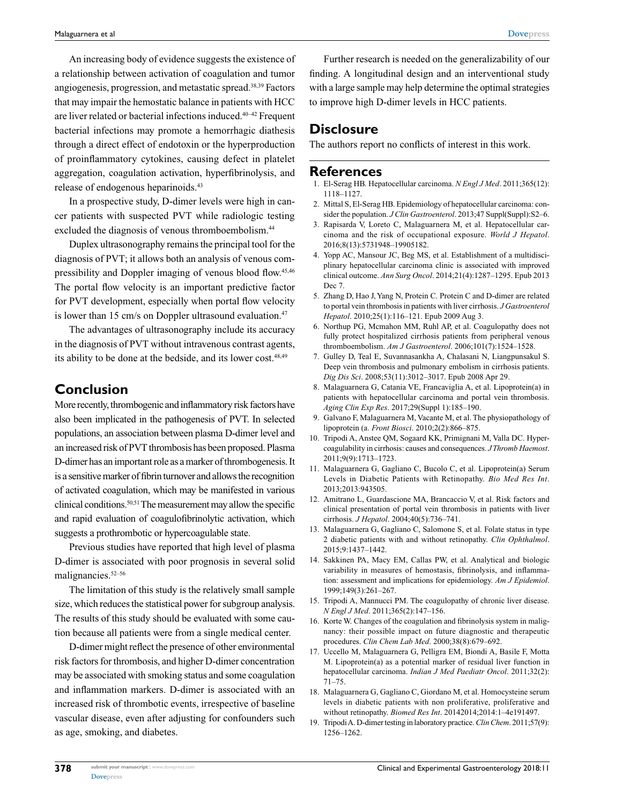An increasing body of evidence suggests the existence of a relationship between activation of coagulation and tumor angiogenesis, progression, and metastatic spread.38,39 Factors that may impair the hemostatic balance in patients with HCC are liver related or bacterial infections induced.40–42 Frequent bacterial infections may promote a hemorrhagic diathesis through a direct effect of endotoxin or the hyperproduction of proinflammatory cytokines, causing defect in platelet aggregation, coagulation activation, hyperfibrinolysis, and release of endogenous heparinoids.43

In a prospective study, D-dimer levels were high in cancer patients with suspected PVT while radiologic testing excluded the diagnosis of venous thromboembolism.<sup>44</sup>

Duplex ultrasonography remains the principal tool for the diagnosis of PVT; it allows both an analysis of venous compressibility and Doppler imaging of venous blood flow.45,46 The portal flow velocity is an important predictive factor for PVT development, especially when portal flow velocity is lower than 15 cm/s on Doppler ultrasound evaluation.<sup>47</sup>

The advantages of ultrasonography include its accuracy in the diagnosis of PVT without intravenous contrast agents, its ability to be done at the bedside, and its lower cost.<sup>48,49</sup>

## **Conclusion**

More recently, thrombogenic and inflammatory risk factors have also been implicated in the pathogenesis of PVT. In selected populations, an association between plasma D-dimer level and an increased risk of PVT thrombosis has been proposed. Plasma D-dimer has an important role as a marker of thrombogenesis. It is a sensitive marker of fibrin turnover and allows the recognition of activated coagulation, which may be manifested in various clinical conditions.<sup>50,51</sup> The measurement may allow the specific and rapid evaluation of coagulofibrinolytic activation, which suggests a prothrombotic or hypercoagulable state.

Previous studies have reported that high level of plasma D-dimer is associated with poor prognosis in several solid malignancies.<sup>52-56</sup>

The limitation of this study is the relatively small sample size, which reduces the statistical power for subgroup analysis. The results of this study should be evaluated with some caution because all patients were from a single medical center.

D-dimer might reflect the presence of other environmental risk factors for thrombosis, and higher D-dimer concentration may be associated with smoking status and some coagulation and inflammation markers. D-dimer is associated with an increased risk of thrombotic events, irrespective of baseline vascular disease, even after adjusting for confounders such as age, smoking, and diabetes.

Further research is needed on the generalizability of our finding. A longitudinal design and an interventional study with a large sample may help determine the optimal strategies to improve high D-dimer levels in HCC patients.

## **Disclosure**

The authors report no conflicts of interest in this work.

#### **References**

- 1. El-Serag HB. Hepatocellular carcinoma. *N Engl J Med*. 2011;365(12): 1118–1127.
- 2. Mittal S, El-Serag HB. Epidemiology of hepatocellular carcinoma: consider the population. *J Clin Gastroenterol*. 2013;47 Suppl(Suppl):S2–6.
- 3. Rapisarda V, Loreto C, Malaguarnera M, et al. Hepatocellular carcinoma and the risk of occupational exposure. *World J Hepatol*. 2016;8(13):5731948–19905182.
- 4. Yopp AC, Mansour JC, Beg MS, et al. Establishment of a multidisciplinary hepatocellular carcinoma clinic is associated with improved clinical outcome. *Ann Surg Oncol*. 2014;21(4):1287–1295. Epub 2013 Dec 7.
- 5. Zhang D, Hao J, Yang N, Protein C. Protein C and D-dimer are related to portal vein thrombosis in patients with liver cirrhosis. *J Gastroenterol Hepatol*. 2010;25(1):116–121. Epub 2009 Aug 3.
- 6. Northup PG, Mcmahon MM, Ruhl AP, et al. Coagulopathy does not fully protect hospitalized cirrhosis patients from peripheral venous thromboembolism. *Am J Gastroenterol*. 2006;101(7):1524–1528.
- 7. Gulley D, Teal E, Suvannasankha A, Chalasani N, Liangpunsakul S. Deep vein thrombosis and pulmonary embolism in cirrhosis patients. *Dig Dis Sci*. 2008;53(11):3012–3017. Epub 2008 Apr 29.
- 8. Malaguarnera G, Catania VE, Francaviglia A, et al. Lipoprotein(a) in patients with hepatocellular carcinoma and portal vein thrombosis. *Aging Clin Exp Res*. 2017;29(Suppl 1):185–190.
- 9. Galvano F, Malaguarnera M, Vacante M, et al. The physiopathology of lipoprotein (a. *Front Biosci*. 2010;2(2):866–875.
- 10. Tripodi A, Anstee QM, Sogaard KK, Primignani M, Valla DC. Hypercoagulability in cirrhosis: causes and consequences. *J Thromb Haemost*. 2011;9(9):1713–1723.
- 11. Malaguarnera G, Gagliano C, Bucolo C, et al. Lipoprotein(a) Serum Levels in Diabetic Patients with Retinopathy. *Bio Med Res Int*. 2013;2013:943505.
- 12. Amitrano L, Guardascione MA, Brancaccio V, et al. Risk factors and clinical presentation of portal vein thrombosis in patients with liver cirrhosis. *J Hepatol*. 2004;40(5):736–741.
- 13. Malaguarnera G, Gagliano C, Salomone S, et al. Folate status in type 2 diabetic patients with and without retinopathy. *Clin Ophthalmol*. 2015;9:1437–1442.
- 14. Sakkinen PA, Macy EM, Callas PW, et al. Analytical and biologic variability in measures of hemostasis, fibrinolysis, and inflammation: assessment and implications for epidemiology. *Am J Epidemiol*. 1999;149(3):261–267.
- 15. Tripodi A, Mannucci PM. The coagulopathy of chronic liver disease. *N Engl J Med*. 2011;365(2):147–156.
- 16. Korte W. Changes of the coagulation and fibrinolysis system in malignancy: their possible impact on future diagnostic and therapeutic procedures. *Clin Chem Lab Med*. 2000;38(8):679–692.
- 17. Uccello M, Malaguarnera G, Pelligra EM, Biondi A, Basile F, Motta M. Lipoprotein(a) as a potential marker of residual liver function in hepatocellular carcinoma. *Indian J Med Paediatr Oncol*. 2011;32(2): 71–75.
- 18. Malaguarnera G, Gagliano C, Giordano M, et al. Homocysteine serum levels in diabetic patients with non proliferative, proliferative and without retinopathy. *Biomed Res Int*. 20142014;2014:1–4e191497.
- 19. Tripodi A. D-dimer testing in laboratory practice. *Clin Chem*. 2011;57(9): 1256–1262.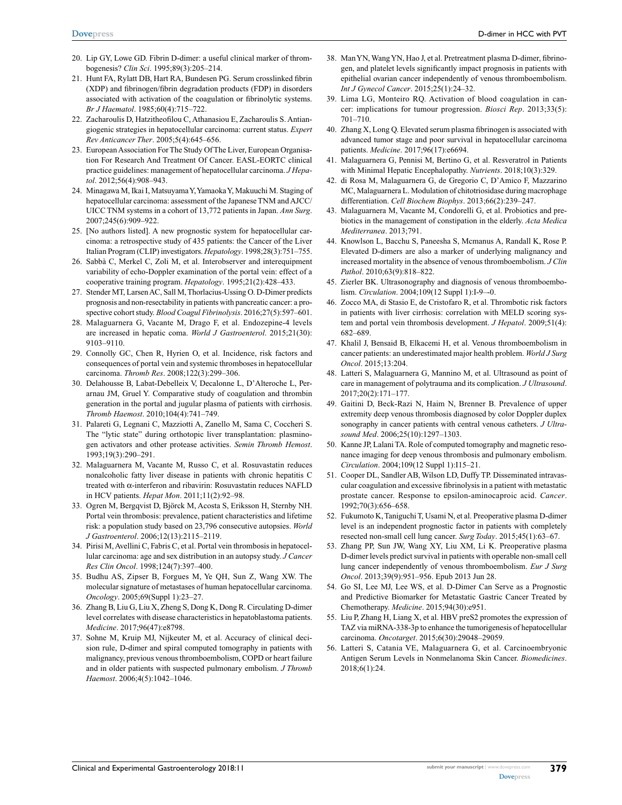- 20. Lip GY, Lowe GD. Fibrin D-dimer: a useful clinical marker of thrombogenesis? *Clin Sci*. 1995;89(3):205–214.
- 21. Hunt FA, Rylatt DB, Hart RA, Bundesen PG. Serum crosslinked fibrin (XDP) and fibrinogen/fibrin degradation products (FDP) in disorders associated with activation of the coagulation or fibrinolytic systems. *Br J Haematol*. 1985;60(4):715–722.
- 22. Zacharoulis D, Hatzitheofilou C, Athanasiou E, Zacharoulis S. Antiangiogenic strategies in hepatocellular carcinoma: current status. *Expert Rev Anticancer Ther*. 2005;5(4):645–656.
- 23. European Association For The Study Of The Liver, European Organisation For Research And Treatment Of Cancer. EASL-EORTC clinical practice guidelines: management of hepatocellular carcinoma. *J Hepatol*. 2012;56(4):908–943.
- 24. Minagawa M, Ikai I, Matsuyama Y, Yamaoka Y, Makuuchi M. Staging of hepatocellular carcinoma: assessment of the Japanese TNM and AJCC/ UICC TNM systems in a cohort of 13,772 patients in Japan. *Ann Surg*. 2007;245(6):909–922.
- 25. [No authors listed]. A new prognostic system for hepatocellular carcinoma: a retrospective study of 435 patients: the Cancer of the Liver Italian Program (CLIP) investigators. *Hepatology*. 1998;28(3):751–755.
- 26. Sabbà C, Merkel C, Zoli M, et al. Interobserver and interequipment variability of echo-Doppler examination of the portal vein: effect of a cooperative training program. *Hepatology*. 1995;21(2):428–433.
- 27. Stender MT, Larsen AC, Sall M, Thorlacius-Ussing O. D-Dimer predicts prognosis and non-resectability in patients with pancreatic cancer: a prospective cohort study. *Blood Coagul Fibrinolysis*. 2016;27(5):597–601.
- 28. Malaguarnera G, Vacante M, Drago F, et al. Endozepine-4 levels are increased in hepatic coma. *World J Gastroenterol*. 2015;21(30): 9103–9110.
- 29. Connolly GC, Chen R, Hyrien O, et al. Incidence, risk factors and consequences of portal vein and systemic thromboses in hepatocellular carcinoma. *Thromb Res*. 2008;122(3):299–306.
- 30. Delahousse B, Labat-Debelleix V, Decalonne L, D'Alteroche L, Perarnau JM, Gruel Y. Comparative study of coagulation and thrombin generation in the portal and jugular plasma of patients with cirrhosis. *Thromb Haemost*. 2010;104(4):741–749.
- 31. Palareti G, Legnani C, Mazziotti A, Zanello M, Sama C, Coccheri S. The "lytic state" during orthotopic liver transplantation: plasminogen activators and other protease activities. *Semin Thromb Hemost*. 1993;19(3):290–291.
- 32. Malaguarnera M, Vacante M, Russo C, et al. Rosuvastatin reduces nonalcoholic fatty liver disease in patients with chronic hepatitis C treated with α-interferon and ribavirin: Rosuvastatin reduces NAFLD in HCV patients. *Hepat Mon*. 2011;11(2):92–98.
- 33. Ogren M, Bergqvist D, Björck M, Acosta S, Eriksson H, Sternby NH. Portal vein thrombosis: prevalence, patient characteristics and lifetime risk: a population study based on 23,796 consecutive autopsies. *World J Gastroenterol*. 2006;12(13):2115–2119.
- 34. Pirisi M, Avellini C, Fabris C, et al. Portal vein thrombosis in hepatocellular carcinoma: age and sex distribution in an autopsy study. *J Cancer Res Clin Oncol*. 1998;124(7):397–400.
- 35. Budhu AS, Zipser B, Forgues M, Ye QH, Sun Z, Wang XW. The molecular signature of metastases of human hepatocellular carcinoma. *Oncology*. 2005;69(Suppl 1):23–27.
- 36. Zhang B, Liu G, Liu X, Zheng S, Dong K, Dong R. Circulating D-dimer level correlates with disease characteristics in hepatoblastoma patients. *Medicine*. 2017;96(47):e8798.
- 37. Sohne M, Kruip MJ, Nijkeuter M, et al. Accuracy of clinical decision rule, D-dimer and spiral computed tomography in patients with malignancy, previous venous thromboembolism, COPD or heart failure and in older patients with suspected pulmonary embolism. *J Thromb Haemost*. 2006;4(5):1042–1046.
- 38. Man YN, Wang YN, Hao J, et al. Pretreatment plasma D-dimer, fibrinogen, and platelet levels significantly impact prognosis in patients with epithelial ovarian cancer independently of venous thromboembolism. *Int J Gynecol Cancer*. 2015;25(1):24–32.
- 39. Lima LG, Monteiro RQ. Activation of blood coagulation in cancer: implications for tumour progression. *Biosci Rep*. 2013;33(5): 701–710.
- 40. Zhang X, Long Q. Elevated serum plasma fibrinogen is associated with advanced tumor stage and poor survival in hepatocellular carcinoma patients. *Medicine*. 2017;96(17):e6694.
- 41. Malaguarnera G, Pennisi M, Bertino G, et al. Resveratrol in Patients with Minimal Hepatic Encephalopathy. *Nutrients*. 2018;10(3):329.
- 42. di Rosa M, Malaguarnera G, de Gregorio C, D'Amico F, Mazzarino MC, Malaguarnera L. Modulation of chitotriosidase during macrophage differentiation. *Cell Biochem Biophys*. 2013;66(2):239–247.
- 43. Malaguarnera M, Vacante M, Condorelli G, et al. Probiotics and prebiotics in the management of constipation in the elderly. *Acta Medica Mediterranea*. 2013;791.
- 44. Knowlson L, Bacchu S, Paneesha S, Mcmanus A, Randall K, Rose P. Elevated D-dimers are also a marker of underlying malignancy and increased mortality in the absence of venous thromboembolism. *J Clin Pathol*. 2010;63(9):818–822.
- 45. Zierler BK. Ultrasonography and diagnosis of venous thromboembolism. *Circulation*. 2004;109(12 Suppl 1):I-9–-0.
- 46. Zocco MA, di Stasio E, de Cristofaro R, et al. Thrombotic risk factors in patients with liver cirrhosis: correlation with MELD scoring system and portal vein thrombosis development. *J Hepatol*. 2009;51(4): 682–689.
- 47. Khalil J, Bensaid B, Elkacemi H, et al. Venous thromboembolism in cancer patients: an underestimated major health problem. *World J Surg Oncol*. 2015;13:204.
- 48. Latteri S, Malaguarnera G, Mannino M, et al. Ultrasound as point of care in management of polytrauma and its complication. *J Ultrasound*. 2017;20(2):171–177.
- 49. Gaitini D, Beck-Razi N, Haim N, Brenner B. Prevalence of upper extremity deep venous thrombosis diagnosed by color Doppler duplex sonography in cancer patients with central venous catheters. *J Ultrasound Med*. 2006;25(10):1297–1303.
- 50. Kanne JP, Lalani TA. Role of computed tomography and magnetic resonance imaging for deep venous thrombosis and pulmonary embolism. *Circulation*. 2004;109(12 Suppl 1):I15–21.
- 51. Cooper DL, Sandler AB, Wilson LD, Duffy TP. Disseminated intravascular coagulation and excessive fibrinolysis in a patient with metastatic prostate cancer. Response to epsilon-aminocaproic acid. *Cancer*. 1992;70(3):656–658.
- 52. Fukumoto K, Taniguchi T, Usami N, et al. Preoperative plasma D-dimer level is an independent prognostic factor in patients with completely resected non-small cell lung cancer. *Surg Today*. 2015;45(1):63–67.
- 53. Zhang PP, Sun JW, Wang XY, Liu XM, Li K. Preoperative plasma D-dimer levels predict survival in patients with operable non-small cell lung cancer independently of venous thromboembolism. *Eur J Surg Oncol*. 2013;39(9):951–956. Epub 2013 Jun 28.
- 54. Go SI, Lee MJ, Lee WS, et al. D-Dimer Can Serve as a Prognostic and Predictive Biomarker for Metastatic Gastric Cancer Treated by Chemotherapy. *Medicine*. 2015;94(30):e951.
- 55. Liu P, Zhang H, Liang X, et al. HBV preS2 promotes the expression of TAZ via miRNA-338-3p to enhance the tumorigenesis of hepatocellular carcinoma. *Oncotarget*. 2015;6(30):29048–29059.
- 56. Latteri S, Catania VE, Malaguarnera G, et al. Carcinoembryonic Antigen Serum Levels in Nonmelanoma Skin Cancer. *Biomedicines*. 2018;6(1):24.